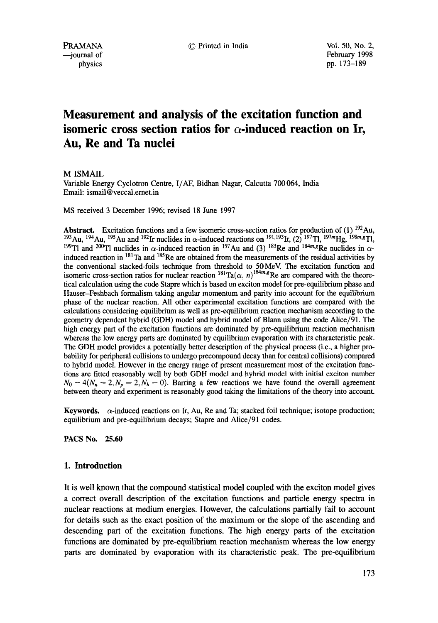PRAMANA © Printed in India Vol. 50, No. 2,

 $-$ journal of February 1998 physics pp. 173–189

# **Measurement and analysis of the excitation function and isomeric cross section ratios for**  $\alpha$ **-induced reaction on Ir, Au, Re and Ta nuclei**

M ISMAIL

Variable Energy Cyclotron Centre, I/AF, Bidhan Nagar, Calcutta 700 064, India Email: ismail @ veccal.ernet.in

MS received 3 December 1996; revised 18 June 1997

**Abstract.** Excitation functions and a few isomeric cross-section ratios for production of (1) 192Au, <sup>193</sup>Au, <sup>194</sup>Au, <sup>195</sup>Au and <sup>192</sup>Ir nuclides in  $\alpha$ -induced reactions on <sup>191,193</sup>Ir, (2) <sup>197</sup>Tl, <sup>197</sup><sup>m</sup>Hg, <sup>198</sup><sup>m</sup><sub>8</sub>Tl, <sup>199</sup>Tl and <sup>200</sup>Tl nuclides in  $\alpha$ -induced reaction in <sup>197</sup>Au and (3) <sup>183</sup>Re and <sup>184m</sup><sub>s</sub>Re nuclides in  $\alpha$ induced reaction in  $^{181}$ Ta and  $^{185}$ Re are obtained from the measurements of the residual activities by the conventional stacked-foils technique from threshold to 50MeV. The excitation function and isomeric cross-section ratios for nuclear reaction  $\binom{181}{16}$  ( $\alpha$ , n)<sup>1841m</sup><sup>s</sup>Re are compared with the theoretical calculation using the code Stapre which is based on exciton model for pre-equilibrium phase and Hauser-Feshbach formalism taking angular momentum and parity into account for the equilibrium phase of the nuclear reaction. All other experimental excitation functions are compared with the calculations considering equilibrium as well as pre-equilibrium reaction mechanism according to the geometry dependent hybrid (GDH) model and hybrid model of Blann using the code Alice/91. The high energy part of the excitation functions are dominated by pre-equilibrium reaction mechanism whereas the low energy parts are dominated by equilibrium evaporation with its characteristic peak. The GDH model provides a potentially better description of the physical process (i.e., a higher probability for peripheral collisions to undergo precompound decay than for central collisions) compared to hybrid model. However in the energy range of present measurement most of the excitation functions are fitted reasonably well by both GDH model and hybrid model with initial exciton number  $N_0 = 4(N_n = 2, N_p = 2, N_h = 0)$ . Barring a few reactions we have found the overall agreement between theory and experiment is reasonably good taking the limitations of the theory into account.

Keywords.  $\alpha$ -induced reactions on Ir, Au, Re and Ta; stacked foil technique; isotope production; equilibrium and pre-equilibrium decays; Stapre and Alice/91 codes.

**PACS No. 25.60** 

# 1. **Introduction**

It is well known that the compound statistical model coupled with the exciton model gives a correct overall description of the excitation functions and particle energy spectra in nuclear reactions at medium energies. However, the calculations partially fail to account for details such as the exact position of the maximum or the slope of the ascending and descending part of the excitation functions. The high energy parts of the excitation functions are dominated by pre-equilibrium reaction mechanism whereas the low energy parts are dominated by evaporation with its characteristic peak. The pre-equilibrium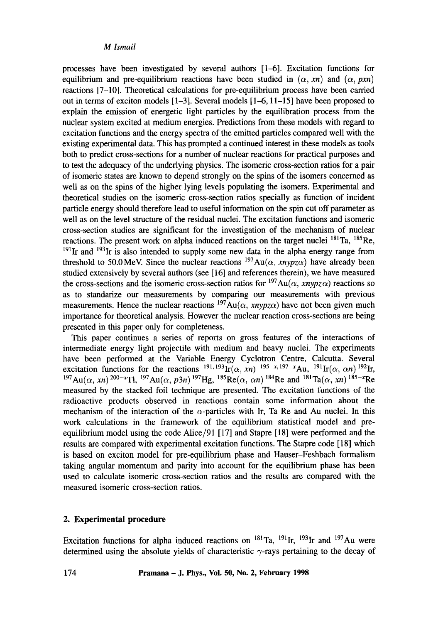processes have been investigated by several authors [1-6]. Excitation functions for equilibrium and pre-equilibrium reactions have been studied in  $(\alpha, xn)$  and  $(\alpha, pxn)$ reactions  $[7-10]$ . Theoretical calculations for pre-equilibrium process have been carried out in terms of exciton models [1-3]. Several models [1-6, 11-15] have been proposed to explain the emission of energetic light particles by the equilibration process from the nuclear system excited at medium energies. Predictions from these models with regard to excitation functions and the energy spectra of the emitted particles compared well with the existing experimental data. This has prompted a continued interest in these models as tools both to predict cross-sections for a number of nuclear reactions for practical purposes and to test the adequacy of the underlying physics. The isomeric cross-section ratios for a pair of isomeric states are known to depend strongly on the spins of the isomers concerned as well as on the spins of the higher lying levels populating the isomers. Experimental and theoretical studies on the isomeric cross-section ratios specially as function of incident particle energy should therefore lead to useful information on the spin cut off parameter as well as on the level structure of the residual nuclei. The excitation functions and isomeric cross-section studies are significant for the investigation of the mechanism of nuclear reactions. The present work on alpha induced reactions on the target nuclei  $^{181}$ Ta,  $^{185}$ Re,  $191$ Ir and  $193$ Ir is also intended to supply some new data in the alpha energy range from threshold to 50.0 MeV. Since the nuclear reactions  $^{197}Au(\alpha, xnypz\alpha)$  have already been studied extensively by several authors (see [16] and references therein), we have measured the cross-sections and the isomeric cross-section ratios for  $197\text{Au}(\alpha, \text{xnypz}\alpha)$  reactions so as to standarize our measurements by comparing our measurements with previous measurements. Hence the nuclear reactions  $197Au(\alpha, xnypz\alpha)$  have not been given much importance for theoretical analysis. However the nuclear reaction cross-sections are being presented in this paper only tor completeness.

This paper continues a series of reports on gross features of the interactions of intermediate energy light projectile with medium and heavy nuclei. The experiments have been performed at the Variable Energy Cyclotron Centre, Calcutta. Several excitation functions for the reactions  $^{191,193}$ Ir( $\alpha$ , *xn*)  $^{195-x,197-x}$ Au,  $^{191}$ Ir( $\alpha$ ,  $\alpha$ n)  $^{192}$ Ir,  $^{197}Au(\alpha, xn)^{200-x}$ Tl,  $^{197}Au(\alpha, p3n)$   $^{197}Hg$ ,  $^{185}Re(\alpha, \alpha n)$   $^{184}Re$  and  $^{181}Ta(\alpha, xn)$   $^{185-x}Re$ measured by the stacked foil technique are presented. The excitation functions of the radioactive products observed in reactions contain some information about the mechanism of the interaction of the  $\alpha$ -particles with Ir, Ta Re and Au nuclei. In this work calculations in the framework of the equilibrium statistical model and preequilibrium model using the code Alice/91 [17] and Stapre [18] were performed and the results are compared with experimental excitation functions. The Stapre code [18] which is based on exciton model for pre-equilibrium phase and Hauser-Feshbach formalism taking angular momentum and parity into account for the equilibrium phase has been used to calculate isomeric cross-section ratios and the results are compared with the measured isomeric cross-section ratios.

# **2. Experimental procedure**

Excitation functions for alpha induced reactions on  $^{181}$ Ta,  $^{191}$ Ir,  $^{193}$ Ir and  $^{197}$ Au were determined using the absolute yields of characteristic  $\gamma$ -rays pertaining to the decay of

174 **Pramana - J. Phys., Vol. 50, No. 2, February 1998**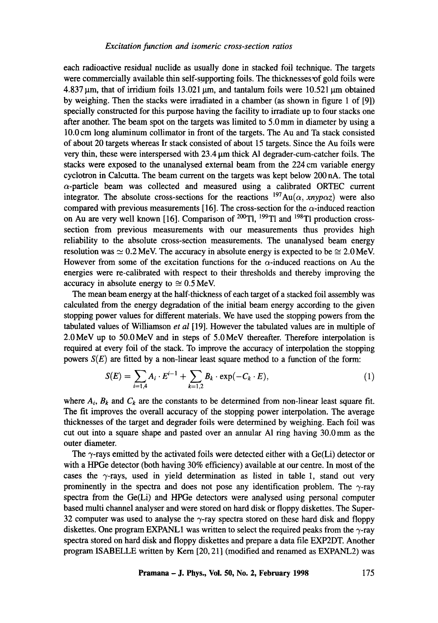each radioactive residual nuclide as usually done in stacked foil technique. The targets were commercially available thin self-supporting foils. The thicknesses of gold foils were  $4.837 \,\mathrm{\upmu m}$ , that of irridium foils 13.021  $\mathrm{\upmu m}$ , and tantalum foils were 10.521  $\mathrm{\upmu m}$  obtained by weighing. Then the stacks were irradiated in a chamber (as shown in figure 1 of [9]) specially constructed for this purpose having the facility to irradiate up to four stacks one after another. The beam spot on the targets was limited to 5.0 mm in diameter by using a 10.0 cm long aluminum collimator in front of the targets. The Au and Ta stack consisted of about 20 targets whereas Ir stack consisted of about 15 targets. Since the Au foils were very thin, these were interspersed with  $23.4 \mu m$  thick A1 degrader-cum-catcher foils. The stacks were exposed to the unanalysed external beam from the 224 cm variable energy cyclotron in Calcutta. The beam current on the targets was kept below 200 nA. The total  $\alpha$ -particle beam was collected and measured using a calibrated ORTEC current integrator. The absolute cross-sections for the reactions  $197Au(\alpha, xnyp\alpha z)$  were also compared with previous measurements [16]. The cross-section for the  $\alpha$ -induced reaction on Au are very well known [16]. Comparison of  $^{200}$ Tl,  $^{199}$ Tl and  $^{198}$ Tl production crosssection from previous measurements with our measurements thus provides high reliability to the absolute cross-section measurements. The unanalysed beam energy resolution was  $\simeq 0.2$  MeV. The accuracy in absolute energy is expected to be  $\simeq 2.0$  MeV. However from some of the excitation functions for the  $\alpha$ -induced reactions on Au the energies were re-calibrated with respect to their thresholds and thereby improving the accuracy in absolute energy to  $\approx 0.5$  MeV.

The mean beam energy at the half-thickness of each target of a stacked foil assembly was calculated from the energy degradation of the initial beam energy according to the given stopping power values for different materials. We have used the stopping powers from the tabulated values of Williamson *et al* [19]. However the tabulated values are in multiple of 2.0MeV up to 50.0MeV and in steps of 5.0MeV thereafter. Therefore interpolation is required at every foil of the stack. To improve the accuracy of interpolation the stopping powers  $S(E)$  are fitted by a non-linear least square method to a function of the form:

$$
S(E) = \sum_{i=1,4} A_i \cdot E^{i-1} + \sum_{k=1,2} B_k \cdot \exp(-C_k \cdot E), \tag{1}
$$

where  $A_i$ ,  $B_k$  and  $C_k$  are the constants to be determined from non-linear least square fit. The fit improves the overall accuracy of the stopping power interpolation. The average thicknesses of the target and degrader foils were determined by weighing. Each foil was cut out into a square shape and pasted over an annular A1 ring having 30.0 mm as the outer diameter.

The  $\gamma$ -rays emitted by the activated foils were detected either with a Ge(Li) detector or with a HPGe detector (both having 30% efficiency) available at our centre. In most of the cases the  $\gamma$ -rays, used in yield determination as listed in table 1, stand out very prominently in the spectra and does not pose any identification problem. The  $\gamma$ -ray spectra from the Ge(Li) and HPGe detectors were analysed using personal computer based multi channel analyser and were stored on hard disk or floppy diskettes. The Super-32 computer was used to analyse the  $\gamma$ -ray spectra stored on these hard disk and floppy diskettes. One program EXPANL1 was written to select the required peaks from the  $\gamma$ -ray spectra stored on hard disk and floppy diskettes and prepare a data file EXP2DT. Another program ISABELLE written by Kern [20, 21] (modified and renamed as EXPANL2) was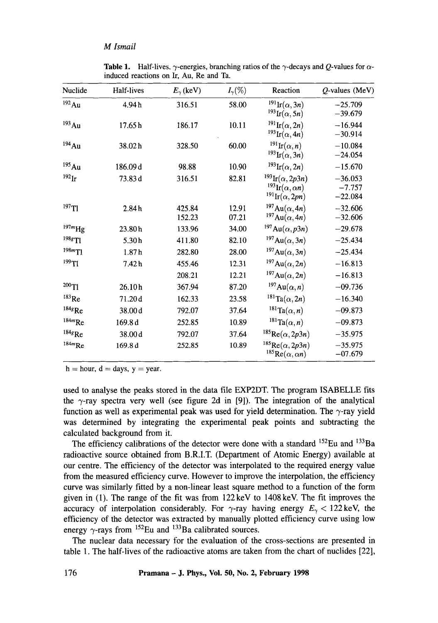| Nuclide               | Half-lives | $E_{\gamma}$ (keV) | $I_{\gamma}(\%)$ | Reaction                                                                                           | $Q$ -values (MeV)                  |
|-----------------------|------------|--------------------|------------------|----------------------------------------------------------------------------------------------------|------------------------------------|
| $^{192}\mathrm{Au}$   | 4.94h      | 316.51             | 58.00            | $^{191}$ Ir $(\alpha, 3n)$<br>$^{193}$ Ir $(\alpha, 5n)$                                           | $-25.709$<br>$-39.679$             |
| $193$ Au              | 17.65h     | 186.17             | 10.11            | $^{191}$ Ir $(\alpha, 2n)$<br>$^{193}$ Ir $(\alpha, 4n)$                                           | $-16.944$<br>$-30.914$             |
| $194$ Au              | 38.02h     | 328.50             | 60.00            | $^{191}$ Ir $(\alpha, n)$<br>$^{193}\text{Ir}(\alpha,3n)$                                          | $-10.084$<br>$-24.054$             |
| $^{195}\mathrm{Au}$   | 186.09d    | 98.88              | 10.90            | $^{193}\text{Ir}(\alpha,2n)$                                                                       | $-15.670$                          |
| $^{192}$ Ir           | 73.83 d    | 316.51             | 82.81            | $^{193}\text{Ir}(\alpha, 2p3n)$<br>$^{193}$ Ir $(\alpha, \alpha n)$<br>$^{191}$ Ir $(\alpha, 2pn)$ | $-36.053$<br>$-7.757$<br>$-22.084$ |
| $^{197}$ Tl           | 2.84h      | 425.84<br>152.23   | 12.91<br>07.21   | $197$ Au( $\alpha$ , 4n)<br>$197Au(\alpha, 4n)$                                                    | $-32.606$<br>$-32.606$             |
| $^{197m}\mathrm{Hg}$  | 23.80h     | 133.96             | 34.00            | $^{197}Au(\alpha, p3n)$                                                                            | $-29.678$                          |
| $198g$ Tl             | 5.30h      | 411.80             | 82.10            | $^{197}Au(\alpha,3n)$                                                                              | $-25.434$                          |
| $198m$ <sup>T</sup> ] | 1.87h      | 282.80             | 28.00            | $197Au(\alpha,3n)$                                                                                 | $-25.434$                          |
| 199T1                 | 7.42h      | 455.46             | 12.31            | $197Au(\alpha,2n)$                                                                                 | $-16.813$                          |
|                       |            | 208.21             | 12.21            | $197Au(\alpha,2n)$                                                                                 | $-16.813$                          |
| $200$ Tl              | 26.10h     | 367.94             | 87.20            | $197Au(\alpha, n)$                                                                                 | $-09.736$                          |
| $183$ Re              | 71.20d     | 162.33             | 23.58            | $^{181}\mathrm{Ta}(\alpha,2n)$                                                                     | $-16.340$                          |
| $184g$ <sub>Re</sub>  | 38.00 d    | 792.07             | 37.64            | $^{181}\mathrm{Ta}(\alpha, n)$                                                                     | $-09.873$                          |
| $^{184m}\mathrm{Re}$  | 169.8d     | 252.85             | 10.89            | $^{181}\mathrm{Ta}(\alpha, n)$                                                                     | $-09.873$                          |
| $184g$ Re             | 38.00 d    | 792.07             | 37.64            | $^{185}$ Re( $\alpha$ , 2p3n)                                                                      | $-35.975$                          |
| $^{184m}\mathrm{Re}$  | 169.8 d    | 252.85             | 10.89            | ${}^{185}$ Re( $\alpha$ , 2p3n)<br>$^{185}\mathrm{Re}(\alpha,\alpha n)$                            | $-35.975$<br>$-07.679$             |

**Table 1.** Half-lives,  $\gamma$ -energies, branching ratios of the  $\gamma$ -decays and Q-values for  $\alpha$ induced reactions on Ir, Au, Re and Ta.

 $h = hour, d = days, y = year.$ 

used to analyse the peaks stored in the data file EXP2DT. The program ISABELLE fits the  $\gamma$ -ray spectra very well (see figure 2d in [9]). The integration of the analytical function as well as experimental peak was used for yield determination. The  $\gamma$ -ray yield was determined by integrating the experimental peak points and subtracting the calculated background from it.

The efficiency calibrations of the detector were done with a standard  $^{152}$ Eu and  $^{133}$ Ba radioactive source obtained from B.R.I.T. (Department of Atomic Energy) available at our centre. The efficiency of the detector was interpolated to the required energy value from the measured efficiency curve. However to improve the interpolation, the efficiency curve was similarly fitted by a non-linear least square method to a function of the form given in  $(1)$ . The range of the fit was from  $122 \text{ keV}$  to  $1408 \text{ keV}$ . The fit improves the accuracy of interpolation considerably. For  $\gamma$ -ray having energy  $E_{\gamma}$  < 122 keV, the efficiency of the detector was extracted by manually plotted efficiency curve using low energy  $\gamma$ -rays from <sup>152</sup>Eu and <sup>133</sup>Ba calibrated sources.

The nuclear data necessary for the evaluation of the cross-sections are presented in table 1. The half-lives of the radioactive atoms are taken from the chart of nuclides [22],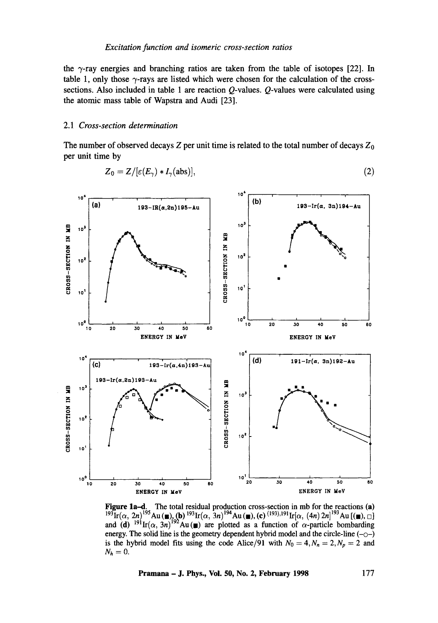the  $\gamma$ -ray energies and branching ratios are taken from the table of isotopes [22]. In table 1, only those  $\gamma$ -rays are listed which were chosen for the calculation of the crosssections. Also included in table 1 are reaction Q-values. Q-values were calculated using the atomic mass table of Wapstra and Audi [23].

#### 2.1 *Cross-section determination*

The number of observed decays  $Z$  per unit time is related to the total number of decays  $Z_0$ per unit time by

$$
Z_0 = Z/[\varepsilon(E_\gamma) * I_\gamma(\text{abs})],\tag{2}
$$



**Figure 1a-d.** The total residual production cross-section in mb for the reactions (a)  $193 \text{Ir}(\alpha, 2n)$   $195 \text{Au}$  ( $\blacksquare$ ), (b)  $193 \text{Ir}(\alpha, 3n)$   $194 \text{Au}$  ( $\blacksquare$ ), (c)  $(193), 191 \text{Ir}[\alpha, (4n) 2n]$   $193 \text{Au}$  [( $\blacksquare$ ),  $\Box$ ] and (d) <sup>191</sup>Ir( $\alpha$ , 3n)<sup>192</sup>Au (n) are plotted as a function of  $\alpha$ -particle bombarding energy. The solid line is the geometry dependent hybrid model and the circle-line  $(-\circ-)$ is the hybrid model fits using the code Alice/91 with  $N_0 = 4, N_n = 2, N_p = 2$  and  $N_h = 0$ .

**Pramana - J. Phys., Voi. 50, No. 2, February 1998 177**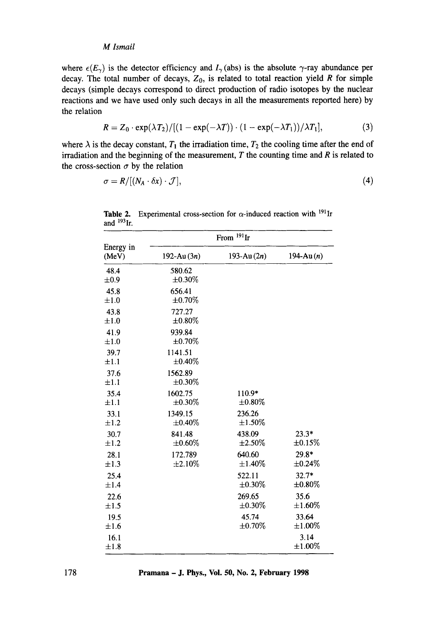where  $\epsilon(E_{\gamma})$  is the detector efficiency and  $I_{\gamma}$  (abs) is the absolute  $\gamma$ -ray abundance per decay. The total number of decays,  $Z_0$ , is related to total reaction yield R for simple decays (simple decays correspond to direct production of radio isotopes by the nuclear reactions and we have used only such decays in all the measurements reported here) by the relation

$$
R = Z_0 \cdot \exp(\lambda T_2) / [(1 - \exp(-\lambda T)) \cdot (1 - \exp(-\lambda T_1))/\lambda T_1], \qquad (3)
$$

where  $\lambda$  is the decay constant,  $T_1$  the irradiation time,  $T_2$  the cooling time after the end of irradiation and the beginning of the measurement,  $T$  the counting time and  $R$  is related to the cross-section  $\sigma$  by the relation

$$
\sigma = R/[(N_A \cdot \delta x) \cdot \mathcal{J}], \tag{4}
$$

|                    |                         | From <sup>191</sup> Ir |                         |
|--------------------|-------------------------|------------------------|-------------------------|
| Energy in<br>(MeV) | 192-Au $(3n)$           | 193-Au $(2n)$          | 194-Au $(n)$            |
| 48.4<br>$\pm 0.9$  | 580.62<br>$\pm 0.30\%$  |                        |                         |
| 45.8<br>$\pm 1.0$  | 656.41<br>$\pm 0.70\%$  |                        |                         |
| 43.8<br>$\pm 1.0$  | 727.27<br>$\pm 0.80\%$  |                        |                         |
| 41.9<br>$\pm 1.0$  | 939.84<br>$\pm 0.70\%$  |                        |                         |
| 39.7<br>±1.1       | 1141.51<br>$\pm 0.40\%$ |                        |                         |
| 37.6<br>$\pm 1.1$  | 1562.89<br>$\pm 0.30\%$ |                        |                         |
| 35.4<br>$\pm 1.1$  | 1602.75<br>$\pm 0.30\%$ | 110.9*<br>$\pm 0.80\%$ |                         |
| 33.1<br>$\pm 1.2$  | 1349.15<br>$\pm 0.40\%$ | 236.26<br>$\pm 1.50\%$ |                         |
| 30.7<br>$\pm 1.2$  | 841.48<br>±0.60%        | 438.09<br>$\pm 2.50\%$ | $23.3*$<br>$\pm 0.15\%$ |
| 28.1<br>$\pm 1.3$  | 172.789<br>$\pm 2.10\%$ | 640.60<br>$\pm 1.40\%$ | 29.8*<br>$\pm 0.24\%$   |
| 25.4<br>$\pm 1.4$  |                         | 522.11<br>$\pm 0.30\%$ | $32.7*$<br>$\pm 0.80\%$ |
| 22.6<br>±1.5       |                         | 269.65<br>±0.30%       | 35.6<br>$\pm 1.60\%$    |
| 19.5<br>$\pm 1.6$  |                         | 45.74<br>$\pm 0.70\%$  | 33.64<br>$\pm 1.00\%$   |
| 16.1<br>$\pm 1.8$  |                         |                        | 3.14<br>$\pm 1.00\%$    |

**Table 2.** Experimental cross-section for  $\alpha$ -induced reaction with <sup>191</sup>Ir and  $193$ Ir.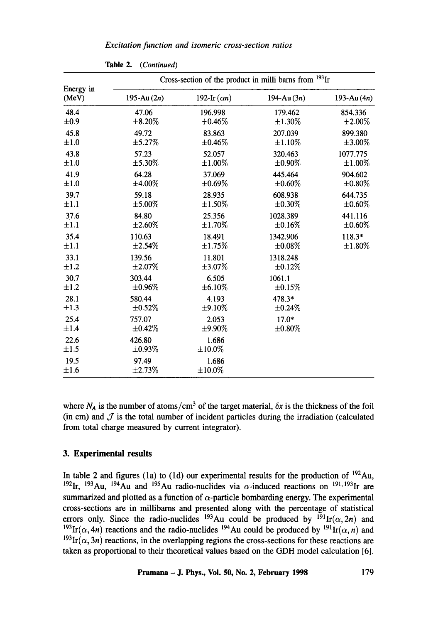|                    | Cross-section of the product in milli barns from <sup>193</sup> Ir |                     |               |               |  |
|--------------------|--------------------------------------------------------------------|---------------------|---------------|---------------|--|
| Energy in<br>(MeV) | 195-Au $(2n)$                                                      | 192-Ir $(\alpha n)$ | 194-Au $(3n)$ | 193-Au $(4n)$ |  |
| 48.4               | 47.06                                                              | 196.998             | 179.462       | 854.336       |  |
| $\pm 0.9$          | $\pm 8.20\%$                                                       | $\pm 0.46\%$        | $\pm 1.30\%$  | $\pm 2.00\%$  |  |
| 45.8               | 49.72                                                              | 83.863              | 207.039       | 899.380       |  |
| ±1.0               | $\pm$ 5.27%                                                        | $\pm 0.46\%$        | $\pm 1.10\%$  | $\pm 3.00\%$  |  |
| 43.8               | 57.23                                                              | 52.057              | 320.463       | 1077.775      |  |
| ±1.0               | $\pm$ 5.30%                                                        | $\pm 1.00\%$        | $\pm 0.90\%$  | $\pm 1.00\%$  |  |
| 41.9               | 64.28                                                              | 37.069              | 445.464       | 904.602       |  |
| $\pm 1.0$          | $\pm 4.00\%$                                                       | $\pm 0.69\%$        | $\pm 0.60\%$  | $\pm 0.80\%$  |  |
| 39.7               | 59.18                                                              | 28.935              | 608.938       | 644.735       |  |
| $\pm 1.1$          | $\pm 5.00\%$                                                       | $\pm 1.50\%$        | $\pm 0.30\%$  | $\pm 0.60\%$  |  |
| 37.6               | 84.80                                                              | 25.356              | 1028.389      | 441.116       |  |
| $\pm 1.1$          | ±2.60%                                                             | $\pm 1.70\%$        | ±0.16%        | $\pm 0.60\%$  |  |
| 35.4               | 110.63                                                             | 18.491              | 1342.906      | $118.3*$      |  |
| $\pm 1.1$          | $\pm 2.54\%$                                                       | $\pm 1.75\%$        | $\pm 0.08\%$  | $\pm 1.80\%$  |  |
| 33.1               | 139.56                                                             | 11.801              | 1318.248      |               |  |
| $\pm 1.2$          | $\pm 2.07\%$                                                       | $\pm 3.07\%$        | ±0.12%        |               |  |
| 30.7               | 303.44                                                             | 6.505               | 1061.1        |               |  |
| ±1.2               | $\pm 0.96\%$                                                       | ±6.10%              | ±0.15%        |               |  |
| 28.1               | 580.44                                                             | 4.193               | 478.3*        |               |  |
| ±1.3               | $\pm 0.52\%$                                                       | $\pm$ 9.10%         | $\pm 0.24\%$  |               |  |
| 25.4               | 757.07                                                             | 2.053               | $17.0*$       |               |  |
| $\pm 1.4$          | $\pm 0.42\%$                                                       | $±9.90\%$           | $\pm 0.80\%$  |               |  |
| 22.6<br>±1.5       | 426.80<br>±0.93%                                                   | 1.686<br>±10.0%     |               |               |  |
| 19.5<br>±1.6       | 97.49<br>±2.73%                                                    | 1.686<br>±10.0%     |               |               |  |

Table 2. *(Continued)* 

where  $N_A$  is the number of atoms/cm<sup>3</sup> of the target material,  $\delta x$  is the thickness of the foil (in cm) and  $J$  is the total number of incident particles during the irradiation (calculated from total charge measured by current integrator).

# **3. Experimental results**

In table 2 and figures (1a) to (1d) our experimental results for the production of  $^{192}$ Au, <sup>192</sup>Ir, <sup>193</sup>Au, <sup>194</sup>Au and <sup>195</sup>Au radio-nuclides via  $\alpha$ -induced reactions on <sup>191, 193</sup>Ir are summarized and plotted as a function of  $\alpha$ -particle bombarding energy. The experimental cross-sections are in millibarns and presented along with the percentage of statistical errors only. Since the radio-nuclides <sup>193</sup>Au could be produced by <sup>191</sup>Ir( $\alpha$ , 2n) and <sup>193</sup>Ir( $\alpha$ , 4n) reactions and the radio-nuclides <sup>194</sup>Au could be produced by <sup>191</sup>Ir( $\alpha$ , n) and <sup>193</sup>Ir( $\alpha$ , 3*n*) reactions, in the overlapping regions the cross-sections for these reactions are taken as proportional to their theoretical values based on the GDH model calculation [6].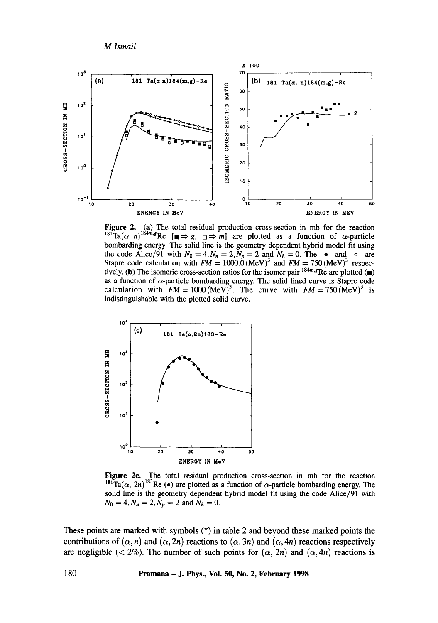*M lsmail* 



**Figure 2. (a)** The total residual production cross-section in mb for the reaction  $\text{L}^{\text{ISI}}\text{Ta}(\alpha, n)^{\text{1}}$ <sup>24m</sup><sub>2</sub>Re [ $\blacksquare \Rightarrow g$ ,  $\Box \Rightarrow m$ ] are plotted as a function of  $\alpha$ -particle bombarding energy. The solid line is the geometry dependent hybrid model fit using the code Alice/91 with  $N_0 = 4$ ,  $N_n = 2$ ,  $N_p = 2$  and  $N_h = 0$ . The  $-\bullet$ - and  $-\circ$ - are Stapre code calculation with  $FM = 1000.0$  (MeV)<sup>3</sup> and  $FM = 750$  (MeV)<sup>3</sup> respectively. (b) The isomeric cross-section ratios for the isomer pair  $184m, gR$ e are plotted ( $\bullet$ ) as a function of  $\alpha$ -particle bombarding energy. The solid lined curve is Stapre code calculation with  $FM = 1000 \text{ (MeV)}^3$ . The curve with  $FM = 750 \text{ (MeV)}^3$  is indistinguishable with the plotted solid curve.



**Figure 2e. The total residual production cross-section in mb for the reaction**  <sup>181</sup> Ta( $\alpha$ , 2n)<sup>183</sup> Re ( $\bullet$ ) are plotted as a function of  $\alpha$ -particle bombarding energy. The **solid line is the geometry dependent hybrid model fit using the code Alice/91 with**   $N_0 = 4, N_n = 2, N_p = 2$  and  $N_h = 0$ .

**These points are marked with symbols (\*) in table 2 and beyond these marked points the**  contributions of  $(\alpha, n)$  and  $(\alpha, 2n)$  reactions to  $(\alpha, 3n)$  and  $(\alpha, 4n)$  reactions respectively are negligible ( $\langle 2\%$ ). The number of such points for  $(\alpha, 2n)$  and  $(\alpha, 4n)$  reactions is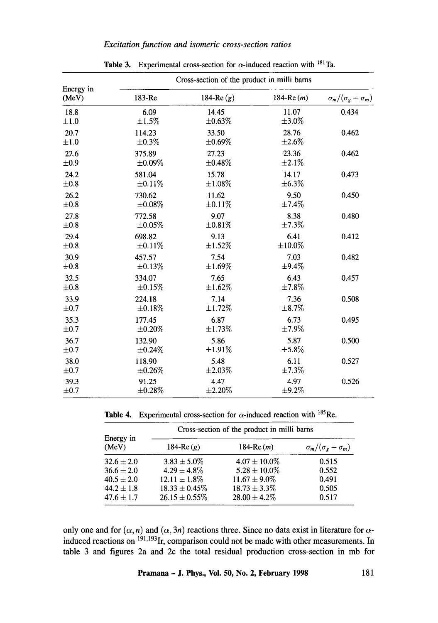# *Excitation function and isomeric cross-section ratios*

|                    | Cross-section of the product in milli barns |              |              |                                  |  |  |
|--------------------|---------------------------------------------|--------------|--------------|----------------------------------|--|--|
| Energy in<br>(MeV) | 183-Re                                      | 184-Re $(g)$ | 184-Re $(m)$ | $\sigma_m/(\sigma_g + \sigma_m)$ |  |  |
| 18.8               | 6.09                                        | 14.45        | 11.07        | 0.434                            |  |  |
| $\pm 1.0$          | $\pm 1.5\%$                                 | $\pm 0.63\%$ | $\pm 3.0\%$  |                                  |  |  |
| 20.7               | 114.23                                      | 33.50        | 28.76        | 0.462                            |  |  |
| ±1.0               | $\pm 0.3\%$                                 | $\pm 0.69\%$ | $\pm 2.6\%$  |                                  |  |  |
| 22.6               | 375.89                                      | 27.23        | 23.36        | 0.462                            |  |  |
| ±0.9               | $\pm 0.09\%$                                | $\pm 0.48\%$ | ±2.1%        |                                  |  |  |
| 24.2               | 581.04                                      | 15.78        | 14.17        | 0.473                            |  |  |
| $\pm 0.8$          | ±0.11%                                      | ±1.08%       | $\pm 6.3\%$  |                                  |  |  |
| 26.2               | 730.62                                      | 11.62        | 9.50         | 0.450                            |  |  |
| $\pm 0.8$          | $\pm 0.08\%$                                | ±0.11%       | ±7.4%        |                                  |  |  |
| 27.8               | 772.58                                      | 9.07         | 8.38         | 0.480                            |  |  |
| $\pm 0.8$          | $\pm 0.05\%$                                | ±0.81%       | $\pm 7.3\%$  |                                  |  |  |
| 29.4               | 698.82                                      | 9.13         | 6.41         | 0.412                            |  |  |
| $\pm 0.8$          | $\pm 0.11\%$                                | ±1.52%       | ±10.0%       |                                  |  |  |
| 30.9               | 457.57                                      | 7.54         | 7.03         | 0.482                            |  |  |
| $\pm 0.8$          | ±0.13%                                      | $\pm 1.69\%$ | ±9.4%        |                                  |  |  |
| 32.5               | 334.07                                      | 7.65         | 6.43         | 0.457                            |  |  |
| $\pm 0.8$          | ±0.15%                                      | ±1.62%       | ±7.8%        |                                  |  |  |
| 33.9               | 224.18                                      | 7.14         | 7.36         | 0.508                            |  |  |
| $\pm 0.7$          | ±0.18%                                      | ±1.72%       | $\pm 8.7\%$  |                                  |  |  |
| 35.3               | 177.45                                      | 6.87         | 6.73         | 0.495                            |  |  |
| $\pm 0.7$          | $\pm 0.20\%$                                | ±1.73%       | ±7.9%        |                                  |  |  |
| 36.7               | 132.90                                      | 5.86         | 5.87         | 0.500                            |  |  |
| $\pm 0.7$          | $\pm 0.24\%$                                | $±1.91\%$    | $\pm 5.8\%$  |                                  |  |  |
| 38.0               | 118.90                                      | 5.48         | 6.11         | 0.527                            |  |  |
| $\pm 0.7$          | $\pm 0.26\%$                                | $\pm 2.03\%$ | ±7.3%        |                                  |  |  |
| 39.3               | 91.25                                       | 4.47         | 4.97         | 0.526                            |  |  |
| $\pm 0.7$          | $\pm 0.28\%$                                | $\pm 2.20\%$ | ±9.2%        |                                  |  |  |

**Table 3.** Experimental cross-section for  $\alpha$ -induced reaction with <sup>181</sup>Ta.

Table 4. Experimental cross-section for  $\alpha$ -induced reaction with <sup>185</sup>Re.

|                    | Cross-section of the product in milli barns |                   |                                  |  |
|--------------------|---------------------------------------------|-------------------|----------------------------------|--|
| Energy in<br>(MeV) | 184-Re $(q)$                                | 184-Re $(m)$      | $\sigma_m/(\sigma_g + \sigma_m)$ |  |
| $32.6 \pm 2.0$     | $3.83 \pm 5.0\%$                            | $4.07 \pm 10.0\%$ | 0.515                            |  |
| $36.6 \pm 2.0$     | $4.29 \pm 4.8\%$                            | $5.28 \pm 10.0\%$ | 0.552                            |  |
| $40.5 \pm 2.0$     | $12.11 \pm 1.8\%$                           | $11.67 \pm 9.0\%$ | 0.491                            |  |
| $44.2 \pm 1.8$     | $18.33 \pm 0.45\%$                          | $18.73 \pm 3.3\%$ | 0.505                            |  |
| $47.6 \pm 1.7$     | $26.15 \pm 0.55\%$                          | $28.00 \pm 4.2\%$ | 0.517                            |  |

only one and for  $(\alpha, n)$  and  $(\alpha, 3n)$  reactions three. Since no data exist in literature for  $\alpha$ induced reactions on  $^{191,193}$ Ir, comparison could not be made with other measurements. In table 3 and figures 2a and 2c the total residual production cross-section in mb for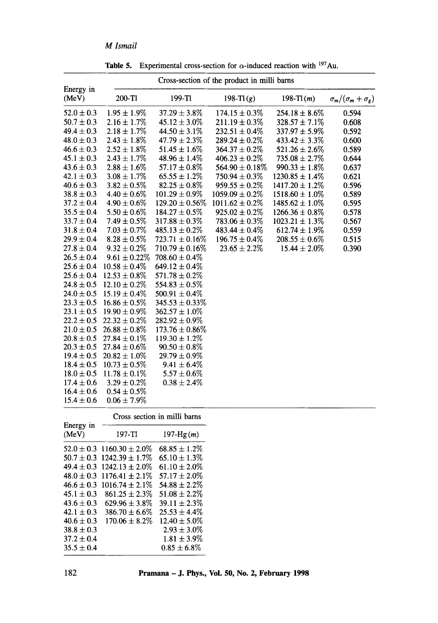# *M lsmail*

|                    |                   | Cross-section of the product in milli barns |                     |                     |                                |
|--------------------|-------------------|---------------------------------------------|---------------------|---------------------|--------------------------------|
| Energy in<br>(MeV) | 200-T1            | $199-T1$                                    | 198-T $l(g)$        | 198-Tl $(m)$        | $\sigma_m/(\sigma_m+\sigma_g)$ |
| $52.0 \pm 0.3$     | $1.95 \pm 1.9\%$  | $37.29 \pm 3.8\%$                           | $174.15 \pm 0.3\%$  | $254.18 \pm 8.6\%$  | 0.594                          |
| $50.7 \pm 0.3$     | $2.16 \pm 1.7\%$  | $45.12 \pm 3.0\%$                           | $211.19 \pm 0.3\%$  | $328.57 \pm 7.1\%$  | 0.608                          |
| $49.4 \pm 0.3$     | $2.18 \pm 1.7\%$  | $44.50 \pm 3.1\%$                           | $232.51 \pm 0.4\%$  | $337.97 \pm 5.9\%$  | 0.592                          |
| $48.0 \pm 0.3$     | $2.43 \pm 1.8\%$  | $47.79 \pm 2.3\%$                           | $289.24 \pm 0.2\%$  | $433.42 \pm 3.3\%$  | 0.600                          |
| $46.6 \pm 0.3$     | $2.52 \pm 1.8\%$  | $51.45 \pm 1.6\%$                           | $364.37 \pm 0.2\%$  | $521.26 \pm 2.6\%$  | 0.589                          |
| $45.1 \pm 0.3$     | $2.43 \pm 1.7\%$  | $48.96 \pm 1.4\%$                           | $406.23 \pm 0.2\%$  | $735.08 \pm 2.7\%$  | 0.644                          |
| $43.6 \pm 0.3$     | $2.88 \pm 1.6\%$  | $57.17 \pm 0.8\%$                           | $564.90 \pm 0.18\%$ | $990.33 \pm 1.8\%$  | 0.637                          |
| $42.1 \pm 0.3$     | $3.08 \pm 1.7\%$  | $65.55 \pm 1.2\%$                           | $750.94 \pm 0.3\%$  | $1230.85 \pm 1.4\%$ | 0.621                          |
| $40.6 \pm 0.3$     | $3.82 \pm 0.5\%$  | $82.25 \pm 0.8\%$                           | $959.55 \pm 0.2\%$  | $1417.20 \pm 1.2\%$ | 0.596                          |
| $38.8 \pm 0.3$     | $4.40 \pm 0.6\%$  | $101.29 \pm 0.9\%$                          | $1059.09 \pm 0.2\%$ | $1518.60 \pm 1.0\%$ | 0.589                          |
| $37.2 \pm 0.4$     | $4.90 \pm 0.6\%$  | $129.20 \pm 0.56\%$                         | $1011.62 \pm 0.2\%$ | $1485.62 \pm 1.0\%$ | 0.595                          |
| $35.5 \pm 0.4$     | $5.50 \pm 0.6\%$  | $184.27 \pm 0.5\%$                          | $925.02 \pm 0.2\%$  | $1266.36 \pm 0.8\%$ | 0.578                          |
| $33.7 \pm 0.4$     | $7.49 \pm 0.5\%$  | $317.88 \pm 0.3\%$                          | $783.06 \pm 0.3\%$  | $1023.21 \pm 1.3\%$ | 0.567                          |
| $31.8 \pm 0.4$     | $7.03 \pm 0.7\%$  | $485.13 \pm 0.2\%$                          | $483.44 \pm 0.4\%$  | $612.74 \pm 1.9\%$  | 0.559                          |
| $29.9 \pm 0.4$     | $8.28 \pm 0.5\%$  | $723.71 \pm 0.16\%$                         | $196.75 \pm 0.4\%$  | $208.55 \pm 0.6\%$  | 0.515                          |
| $27.8 \pm 0.4$     | $9.32 \pm 0.2\%$  | $710.79 \pm 0.16\%$                         | $23.65 \pm 2.2\%$   | $15.44 \pm 2.0\%$   | 0.390                          |
| $26.5 \pm 0.4$     | $9.61 \pm 0.22\%$ | $708.60 \pm 0.4\%$                          |                     |                     |                                |
| $25.6 \pm 0.4$     | $10.58 \pm 0.4\%$ | $649.12 \pm 0.4\%$                          |                     |                     |                                |
| $25.6 \pm 0.4$     | $12.53 \pm 0.8\%$ | $571.78 \pm 0.2\%$                          |                     |                     |                                |
| $24.8 \pm 0.5$     | $12.10 \pm 0.2\%$ | $554.83 \pm 0.5\%$                          |                     |                     |                                |
| $24.0 \pm 0.5$     | $15.19 \pm 0.4\%$ | $500.91 \pm 0.4\%$                          |                     |                     |                                |
| $23.3 \pm 0.5$     | $16.86 \pm 0.5\%$ | $345.53 \pm 0.33\%$                         |                     |                     |                                |
| $23.1 \pm 0.5$     | $19.90 \pm 0.9\%$ | $362.57 \pm 1.0\%$                          |                     |                     |                                |
| $22.2 \pm 0.5$     | $22.32 \pm 0.2\%$ | $282.92 \pm 0.9\%$                          |                     |                     |                                |
| $21.0 \pm 0.5$     | $26.88 \pm 0.8\%$ | $173.76 \pm 0.86\%$                         |                     |                     |                                |
| $20.8 \pm 0.5$     | $27.84 \pm 0.1\%$ | $119.30 \pm 1.2\%$                          |                     |                     |                                |
| $20.3 \pm 0.5$     | $27.84 \pm 0.6\%$ | $90.50 \pm 0.8\%$                           |                     |                     |                                |
| $19.4 \pm 0.5$     | $20.82 \pm 1.0\%$ | $29.79 \pm 0.9\%$                           |                     |                     |                                |
| $18.4 \pm 0.5$     | $10.73 \pm 0.5\%$ | $9.41 \pm 6.4\%$                            |                     |                     |                                |
| $18.0 \pm 0.5$     | $11.78 \pm 0.1\%$ | $5.57 \pm 0.6\%$                            |                     |                     |                                |
| $17.4 \pm 0.6$     | $3.29 \pm 0.2\%$  | $0.38 \pm 2.4\%$                            |                     |                     |                                |
| $16.4 \pm 0.6$     | $0.54 \pm 0.5\%$  |                                             |                     |                     |                                |
| $15.4 \pm 0.6$     | $0.06 \pm 7.9\%$  |                                             |                     |                     |                                |

Table 5. Experimental cross-section for  $\alpha$ -induced reaction with <sup>197</sup>Au.

|                    | Cross section in milli barns |                   |  |  |
|--------------------|------------------------------|-------------------|--|--|
| Energy in<br>(MeV) | 197-TI                       | 197- $Hg(m)$      |  |  |
| $52.0 \pm 0.3$     | $1160.30 \pm 2.0\%$          | $68.85 \pm 1.2\%$ |  |  |
| $50.7 + 0.3$       | $1242.39 \pm 1.7\%$          | $65.10 \pm 1.3\%$ |  |  |
| $49.4 \pm 0.3$     | $1242.13 \pm 2.0\%$          | $61.10 \pm 2.0\%$ |  |  |
| $48.0 \pm 0.3$     | $1176.41 \pm 2.1\%$          | $57.17 + 2.0\%$   |  |  |
| $46.6 + 0.3$       | $1016.74 + 2.1\%$            | $54.88 \pm 2.2\%$ |  |  |
| $45.1 + 0.3$       | $861.25 \pm 2.3\%$           | $51.08 \pm 2.2\%$ |  |  |
| $43.6 + 0.3$       | $629.96 \pm 3.8\%$           | $39.11 \pm 2.3\%$ |  |  |
| $42.1 + 0.3$       | $386.70 \pm 6.6\%$           | $25.53 \pm 4.4\%$ |  |  |
| $40.6 \pm 0.3$     | $170.06 + 8.2\%$             | $12.40 \pm 5.0\%$ |  |  |
| $38.8 + 0.3$       |                              | $2.93 + 3.0\%$    |  |  |
| $37.2 \pm 0.4$     |                              | $1.81 \pm 3.9\%$  |  |  |
| $35.5 \pm 0.4$     |                              | $0.85 + 6.8\%$    |  |  |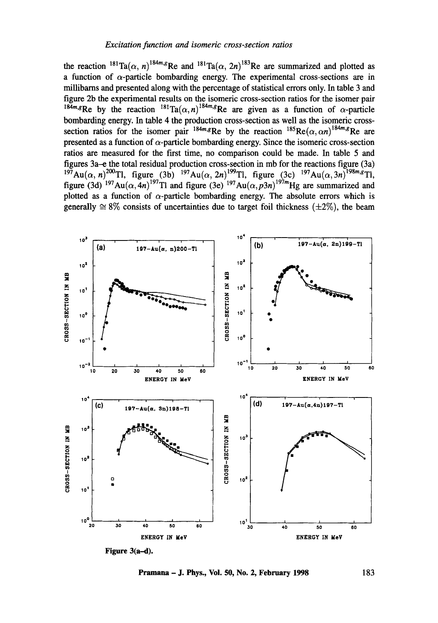the reaction  $^{181}Ta(\alpha, n)^{184m}$ <sup>*R*</sup>Re and  $^{181}Ta(\alpha, 2n)^{183}$ Re are summarized and plotted as a function of  $\alpha$ -particle bombarding energy. The experimental cross-sections are in millibarns and presented along with the percentage of statistical errors only. In table 3 and figure 2b the experimental results on the isomeric cross-section ratios for the isomer pair  $184m_s$ Re by the reaction  $181\text{Ta}(\alpha, n)^{184m_s}$ Re are given as a function of  $\alpha$ -particle bombarding energy. In table 4 the production cross-section as well as the isomeric crosssection ratios for the isomer pair  $184m, g$ Re by the reaction  $185Re(\alpha, \alpha n)^{184m}$ <sub>R</sub>e are presented as a function of  $\alpha$ -particle bombarding energy. Since the isomeric cross-section ratios are measured for the first time, no comparison could be made. In table 5 and figures 3a-e the total residual production cross-section in mb for the reactions figure (3a)  $197\text{Au}(\alpha, n)^{200}\text{T}$ , figure (3b)  $197\text{Au}(\alpha, 2n)^{199}\text{T}$ , figure (3c)  $197\text{Au}(\alpha, 3n)^{198m}$ . <sup>2</sup>Tl, figure (3d) <sup>197</sup>Au( $\alpha$ , 4n)<sup>197</sup>Tl and figure (3e) <sup>197</sup>Au( $\alpha$ , p3n)<sup>197</sup>*m*Hg are summarized and plotted as a function of  $\alpha$ -particle bombarding energy. The absolute errors which is generally  $\approx 8\%$  consists of uncertainties due to target foil thickness ( $\pm 2\%$ ), the beam



**Pramana – J. Phys., Vol. 50, No. 2, February 1998** 183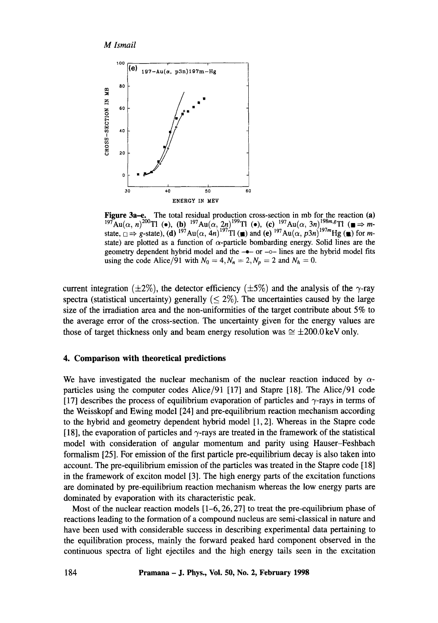



Figure 3a-e. The total residual production cross-section in mb for the reaction (a)  $197$ Au( $\alpha$ , n)<sup>200</sup>Tl ( $\bullet$ ), (b)  $197$ Au( $\alpha$ , 2n)<sup>199</sup>Tl ( $\bullet$ ), (c)  $197$ Au( $\alpha$ , 3n)<sup>198m,g</sup>Tl ( $\blacksquare \Rightarrow m$ state,  $\Box \Rightarrow g$ -state), (d) <sup>197</sup>Au( $\alpha$ , 4n)<sup>197</sup>Tl ( $\blacksquare$ ) and (e) <sup>197</sup>Au( $\alpha$ , p3n)<sup>197</sup>mHg ( $\blacksquare$ ) for mstate) are plotted as a function of  $\alpha$ -particle bombarding energy. Solid lines are the geometry dependent hybrid model and the  $-\bullet-$  or  $-\circ-$  lines are the hybrid model fits using the code Alice/91 with  $N_0 = 4$ ,  $N_n = 2$ ,  $N_p = 2$  and  $N_h = 0$ .

current integration ( $\pm 2\%$ ), the detector efficiency ( $\pm 5\%$ ) and the analysis of the  $\gamma$ -ray spectra (statistical uncertainty) generally  $(< 2\%)$ . The uncertainties caused by the large size of the irradiation area and the non-uniformities of the target contribute about 5% to the average error of the cross-section. The uncertainty given for the energy values are those of target thickness only and beam energy resolution was  $\approx \pm 200.0 \,\text{keV}$  only.

### 4. Comparison with **theoretical predictions**

We have investigated the nuclear mechanism of the nuclear reaction induced by  $\alpha$ particles using the computer codes Alice/91 [17] and Stapre [18]. The Alice/91 code [17] describes the process of equilibrium evaporation of particles and  $\gamma$ -rays in terms of the Weisskopf and Ewing model [24] and pre-equilibrium reaction mechanism according to the hybrid and geometry dependent hybrid model [1, 2]. Whereas in the Stapre code [18], the evaporation of particles and  $\gamma$ -rays are treated in the framework of the statistical model with consideration of angular momentum and parity using Hauser-Feshbach formalism [25]. For emission of the first particle pre-equilibrium decay is also taken into account. The pre-equilibrium emission of the panicles was treated in the Stapre code [18] in the framework of exciton model [3]. The high energy parts of the excitation functions are dominated by pre-equilibrium reaction mechanism whereas the low energy parts are dominated by evaporation with its characteristic peak.

Most of the nuclear reaction models  $[1-6, 26, 27]$  to treat the pre-equilibrium phase of reactions leading to the formation of a compound nucleus are semi-classical in nature and have been used with considerable success in describing experimental data pertaining to the equilibration process, mainly the forward peaked hard component observed in the continuous spectra of light ejectiles and the high energy tails seen in the excitation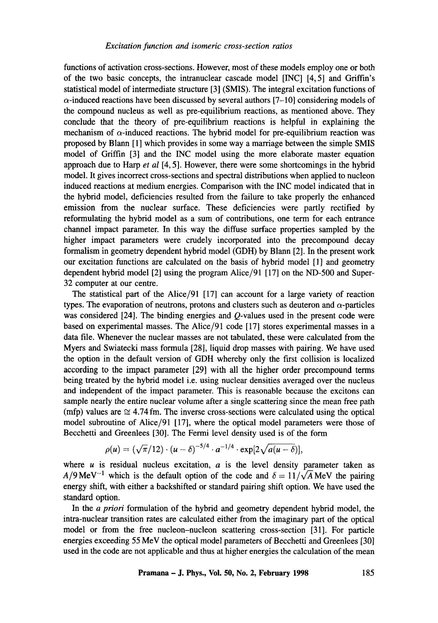functions of activation cross-sections. However, most of these models employ one or both of the two basic concepts, the intranuclear cascade model [INC] [4, 5] and Griffin's statistical model of intermediate structure [3] (SMIS). The integral excitation functions of  $\alpha$ -induced reactions have been discussed by several authors [7-10] considering models of the compound nucleus as well as pre-equilibrium reactions, as mentioned above. They conclude that the theory of pre-equilibrium reactions is helpful in explaining the mechanism of  $\alpha$ -induced reactions. The hybrid model for pre-equilibrium reaction was proposed by Blarm [1] which provides in some way a marriage between the simple SMIS model of Griffin [3] and the INC model using the more elaborate master equation approach due to Harp *et al* [4, 5]. However, there were some shortcomings in the hybrid model. It gives incorrect cross-sections and spectral distributions when applied to nucleon induced reactions at medium energies. Comparison with the INC model indicated that in the hybrid model, deficiencies resulted from the failure to take properly the enhanced emission from the nuclear surface. These deficiencies were partly rectified by reformulating the hybrid model as a sum of contributions, one term for each entrance channel impact parameter. In this way the diffuse surface properties sampled by the higher impact parameters were crudely incorporated into the precompound decay formalism in geometry dependent hybrid model (GDH) by Blann [2]. In the present work our excitation functions are calculated on the basis of hybrid model [1] and geometry dependent hybrid model [2] using the program Alice/91 [17] on the ND-500 and Super-32 computer at our centre.

The statistical part of the Alice/91 [17] can account for a large variety of reaction types. The evaporation of neutrons, protons and clusters such as deuteron and  $\alpha$ -particles was considered [24]. The binding energies and *O*-values used in the present code were based on experimental masses. The Alice/91 code [17] stores experimental masses in a data file. Whenever the nuclear masses are not tabulated, these were calculated from the Myers and Swiatecki mass formula [28], liquid drop masses with pairing. We have used the option in the default version of GDH whereby only the first collision is localized according to the impact parameter [29] with all the higher order precompound terms being treated by the hybrid model i.e. using nuclear densities averaged over the nucleus and independent of the impact parameter. This is reasonable because the excitons can sample nearly the entire nuclear volume after a single scattering since the mean free path (mfp) values are  $\approx 4.74$  fm. The inverse cross-sections were calculated using the optical model subroutine of Alice/91 [17], where the optical model parameters were those of Becchetti and Greenlees [30]. The Fermi level density used is of the form

$$
\rho(u) = (\sqrt{\pi}/12) \cdot (u - \delta)^{-5/4} \cdot a^{-1/4} \cdot \exp[2\sqrt{a(u - \delta)}],
$$

where  $u$  is residual nucleus excitation,  $a$  is the level density parameter taken as  $A/9$ MeV<sup>-1</sup> which is the default option of the code and  $\delta = 11/\sqrt{A}$ MeV the pairing energy shift, with either a backshifted or standard pairing shift option. We have used the standard option.

In *the a priori* formulation of the hybrid and geometry dependent hybrid model, the intra-nuclear transition rates are calculated either from the imaginary part of the optical model or from the free nucleon-nucleon scattering cross-section [31]. For particle energies exceeding 55 MeV the optical model parameters of Becchetti and Greenlees [30] used in the code are not applicable and thus at higher energies the calculation of the mean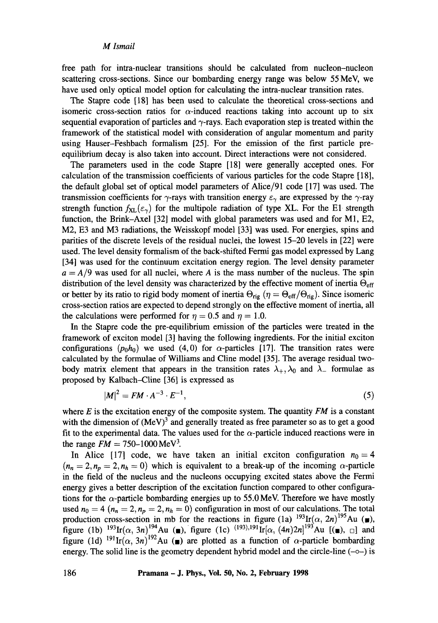free path for intra-nuclear transitions should be calculated from nucleon-nucleon scattering cross-sections. Since our bombarding energy range was below 55 MeV, we have used only optical model option for calculating the intra-nuclear transition rates.

The Stapre code [18] has been used to calculate the theoretical cross-sections and isomeric cross-section ratios for  $\alpha$ -induced reactions taking into account up to six sequential evaporation of particles and  $\gamma$ -rays. Each evaporation step is treated within the framework of the statistical model with consideration of angular momentum and parity using Hauser-Feshbach formalism [25]. For the emission of the first particle preequilibrium decay is also taken into account. Direct interactions were not considered.

The parameters used in the code Stapre [18] were generally accepted ones. For calculation of the transmission coefficients of various particles for the code Stapre [18], the default global set of optical model parameters of Alice/91 code [17] was used. The transmission coefficients for  $\gamma$ -rays with transition energy  $\varepsilon_{\gamma}$  are expressed by the  $\gamma$ -ray strength function  $f_{\text{XL}}(\varepsilon_{\gamma})$  for the multipole radiation of type XL. For the E1 strength function, the Brink-Axel [32] model with global parameters was used and for M1, E2, M2, E3 and M3 radiations, the Weisskopf model [33] was used. For energies, spins and parities of the discrete levels of the residual nuclei, the lowest 15-20 levels in [22] were used. The level density formalism of the back-shifted Fermi gas model expressed by Lang [34] was used for the continuum excitation energy region. The level density parameter  $a = A/9$  was used for all nuclei, where A is the mass number of the nucleus. The spin distribution of the level density was characterized by the effective moment of inertia  $\Theta_{\text{eff}}$ or better by its ratio to rigid body moment of inertia  $\Theta_{\text{rig}}$  ( $\eta = \Theta_{\text{eff}}/\Theta_{\text{rig}}$ ). Since isomeric cross-section ratios are expected to depend strongly on the effective moment of inertia, all the calculations were performed for  $\eta = 0.5$  and  $\eta = 1.0$ .

In the Stapre code the pre-equilibrium emission of the particles were treated in the framework of exciton model [3] having the following ingredients. For the initial exciton configurations  $(p_0, h_0)$  we used (4,0) for  $\alpha$ -particles [17]. The transition rates were calculated by the formulae of Williams and Cline model [35]. The average residual twobody matrix element that appears in the transition rates  $\lambda_+$ ,  $\lambda_0$  and  $\lambda_-$  formulae as proposed by Kalbach-Cline [36] is expressed as

$$
|M|^2 = FM \cdot A^{-3} \cdot E^{-1},\tag{5}
$$

where  $E$  is the excitation energy of the composite system. The quantity  $FM$  is a constant with the dimension of  $(MeV)^3$  and generally treated as free parameter so as to get a good fit to the experimental data. The values used for the  $\alpha$ -particle induced reactions were in the range  $FM = 750 - 1000 \,\text{MeV}^3$ .

In Alice [17] code, we have taken an initial exciton configuration  $n_0 = 4$  $(n_n = 2, n_p = 2, n_h = 0)$  which is equivalent to a break-up of the incoming  $\alpha$ -particle in the field of the nucleus and the nucleons occupying excited states above the Fermi energy gives a better description of the excitation function compared to other configurations for the  $\alpha$ -particle bombarding energies up to 55.0 MeV. Therefore we have mostly used  $n_0 = 4$  ( $n_n = 2, n_p = 2, n_h = 0$ ) configuration in most of our calculations. The total production cross-section in mb for the reactions in figure (1a)  $193$ Ir( $\alpha$ , 2n)<sup>195</sup>Au ( $\bullet$ ), figure (1b)  $^{193}$ Ir( $\alpha$ , 3n)<sup>194</sup>Au ( $\blacksquare$ ), figure (1c)  $^{(193),191}$ Ir( $\alpha$ ,  $(4n)2n$ ]<sup>193</sup>Au [( $\blacksquare$ ),  $\Box$ ] and figure (1d) <sup>191</sup>Ir( $\alpha$ , 3n)<sup>192</sup>Au ( $\blacksquare$ ) are plotted as a function of  $\alpha$ -particle bombarding energy. The solid line is the geometry dependent hybrid model and the circle-line  $(-\infty)$  is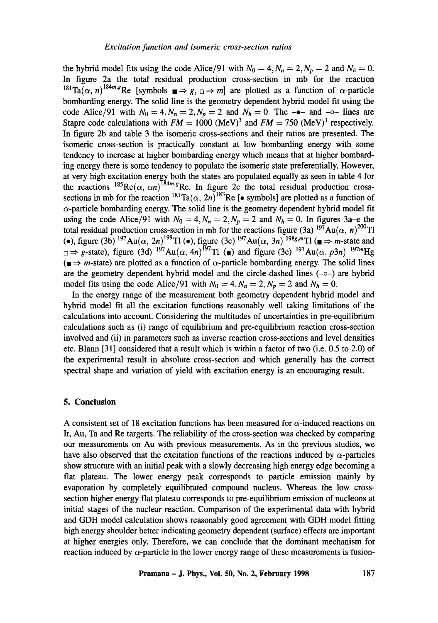the hybrid model fits using the code Alice/91 with  $N_0 = 4$ ,  $N_n = 2$ ,  $N_p = 2$  and  $N_h = 0$ . In figure 2a the total residual production cross-section in mb for the reaction  $^{181}\text{Ta}(\alpha, n)^{184m}$ <sub>8</sub>Re [symbols  $\blacksquare \Rightarrow g$ ,  $\Box \Rightarrow m$ ] are plotted as a function of  $\alpha$ -particle bombarding energy. The solid line is the geometry dependent hybrid model fit using the code Alice/91 with  $N_0 = 4$ ,  $N_n = 2$ ,  $N_p = 2$  and  $N_h = 0$ . The  $-\bullet$ - and  $-\circ$ - lines are Stapre code calculations with  $FM = 1000$  (MeV)<sup>3</sup> and  $FM = 750$  (MeV)<sup>3</sup> respectively. In figure 2b and table 3 the isomeric cross-sections and their ratios are presented. The isomeric cross-section is practically constant at low bombarding energy with some tendency to increase at higher bombarding energy which means that at higher bombarding energy there is some tendency to populate the isomeric state preferentially. However, at very high excitation energy both the states are populated equally as seen in table 4 for the reactions  $^{185}$ Re( $\alpha$ ,  $\alpha n$ )<sup>to+*m*,g</sup>Re. In figure 2c the total residual production crosssections in mb for the reaction  ${}^{181}\text{Ta}(\alpha, 2n)$ <sup>183</sup>Re [ $\bullet$  symbols] are plotted as a function of  $\alpha$ -particle bombarding energy. The solid line is the geometry dependent hybrid model fit using the code Alice/91 with  $N_0 = 4, N_n = 2, N_p = 2$  and  $N_h = 0$ . In figures 3a-e the total residual production cross-section in mb for the reactions figure (3a)  $^{197}Au(\alpha, n)^{200}T1$ (e), figure (3b)  $^{197}Au(\alpha, 2n)^{199}T1$  (e), figure (3c)  $^{197}Au(\alpha, 3n)$   $^{198}g/mT1$  ( $\blacksquare \Rightarrow m$ -state and  $\Box \Rightarrow g$ -state), figure (3d) <sup>197</sup>Au( $\alpha$ , 4n)<sup>197</sup>Tl ( $\Box$ ) and figure (3e) <sup>197</sup>Au( $\alpha$ , p3n) <sup>197m</sup>Hg  $(\blacksquare \Rightarrow m\text{-state})$  are plotted as a function of  $\alpha$ -particle bombarding energy. The solid lines are the geometry dependent hybrid model and the circle-dashed lines  $(-\circ-)$  are hybrid model fits using the code Alice/91 with  $N_0 = 4$ ,  $N_n = 2$ ,  $N_p = 2$  and  $N_h = 0$ .

In the energy range of the measurement both geometry dependent hybrid model and hybrid model fit all the excitation functions reasonably well taking limitations of the calculations into account. Considering the multitudes of uncertainties in pre-equilibrium calculations such as (i) range of equilibrium and pre-equilibrium reaction cross-section involved and (ii) in parameters such as inverse reaction cross-sections and level densities etc. Blann [31] considered that a result which is within a factor of two (i.e. 0.5 to 2.0) of the experimental result in absolute cross-section and which generally has the correct spectral shape and variation of yield with excitation energy is an encouraging result.

## **5. Conclusion**

A consistent set of 18 excitation functions has been measured for  $\alpha$ -induced reactions on Ir, Au, Ta and Re targerts. The reliability of the cross-section was checked by comparing our measurements on Au with previous measurements. As in the previous studies, we have also observed that the excitation functions of the reactions induced by  $\alpha$ -particles show structure with an initial peak with a slowly decreasing high energy edge becoming a fiat plateau. The lower energy peak corresponds to particle emission mainly by evaporation by completely equilibrated compound nucleus. Whereas the low crosssection higher energy fiat plateau corresponds to pre-equilibrium emission of nucleons at initial stages of the nuclear reaction. Comparison of the experimental data with hybrid and GDH model calculation shows reasonably good agreement with GDH model fitting high energy shoulder better indicating geometry dependent (surface) effects are important at higher energies only. Therefore, we can conclude that the dominant mechanism for reaction induced by  $\alpha$ -particle in the lower energy range of these measurements is fusion-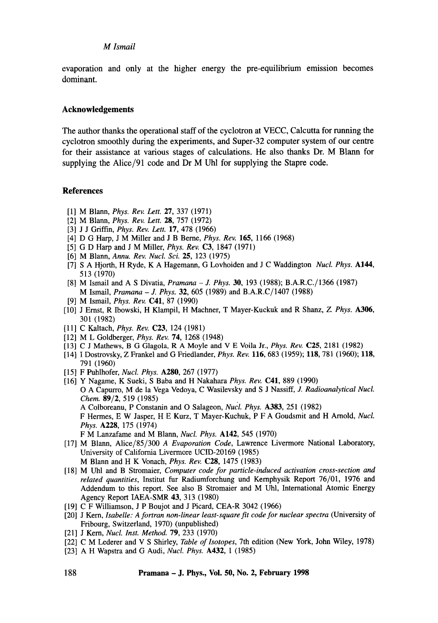evaporation and only at the higher energy the pre-equilibrium emission becomes dominant.

# **Acknowledgements**

The author thanks the operational staff of the cyclotron at VECC, Calcutta for running the cyclotron smoothly during the experiments, and Super-32 computer system of our centre for their assistance at various stages of calculations. He also thanks Dr. M Blann for supplying the Alice/91 code and Dr M Uhl for supplying the Stapre code.

#### **References**

- [1] M Blann, *Phys. Rev. Lett.* 27, 337 (1971)
- [2] M Blann, *Phys. Rev. Lett.* 28, 757 (1972)
- [3] J J Griffin, *Phys. Rev. Lett.* 17, 478 (1966)
- [4] D G Harp, J M Miller and J B Berne, *Phys. Rev.* 165, 1166 (1968)
- [5] G D Harp and J M Miller, *Phys. Rev.* C3, 1847 (1971)
- [6] M Blann, *Annu. Rev. Nucl. Sci.* 25, 123 (1975)
- [7] S A Hjorth, H Ryde, K A Hagemann, G Lovhoiden and J C Waddington *Nucl. Phys.* A144, 513 (1970)
- [8] M Ismail and A S Divatia, *Pramana J. Phys.* 30, 193 (1988); B.A.R.C./1366 (1987) M Ismail, *Pramana - J. Phys.* 32, 605 (1989) and B.A.R.C/1407 (1988)
- [9] M Ismail, *Phys. Rev.* C41, 87 (1990)
- [10] J Ernst, R Ibowski, H Klampil, H Machner, T Mayer-Kuckuk and R Shanz, Z. *Phys.* A306, 301 (1982)
- [11] C Kaltach, *Phys. Rev.* **C23**, 124 (1981)
- [12] M L Goldberger, *Phys. Rev.* 74, 1268 (1948)
- [13] C J Mathews, B G Glagola, R A Moyle and V E Voila Jr., *Phys. Rev.* C25, 2181 (1982)
- [14] I Dostrovsky, Z Frankel and G Friedlander, *Phys. Rev.* 116, 683 (1959); 118, 781 (1960); 118, 791 (1960)
- [15] F Puhlhofer, *NucL Phys.* A280, 267 (1977)
- [16] Y Nagame, K Sueki, S Baba and H Nakahara *Phys. Rev.* C41, 889 (1990) O A Capurro, M de la Vega Vedoya, C Wasilevsky and S J Nassiff, *J. Radioanalytical Nucl. Chem.* 89/2, 519 (1985) A Colboreanu, P Constanin and O Salageon, *Nucl. Phys.* A383, 251 (1982) F Hermes, E W Jasper, H E Kurz, T Mayer-Kuchuk, P F A Goudsmit and H Arnold, *Nucl. Phys.* A228, 175 (1974) F M Lanzafame and M Blann, *NucL Phys.* A142, 545 (1970)
- [17] M Blann, Alice/85/300 *A Evaporation Code,* Lawrence Livermore National Laboratory, University of California Livermore UCID-20169 (1985) M Blann and H K Vonach, *Phys. Rev.* C28, 1475 (1983)
- [18] M Uhl and B Stromaier, *Computer code for particle-induced activation cross-section and related quantities,* Institut fur Radiumforchung und Kernphysik Report 76/01, 1976 and Addendum to this report. See also B Stromaier and M Uhl, International Atomic Energy Agency Report IAEA-SMR 43, 313 (1980)
- [19] C F Williamson, J P Boujot and J Picard, CEA-R 3042 (1966)
- [20] J Kern, *Isabelle: A fortran non-linear least-square fit code for nuclear spectra (University of* Fribourg, Switzerland, 1970) (unpublished)
- [21] J Kern, *Nucl. Inst. Method.* 79, 233 (1970)
- [22] C M Lederer and V S Shirley, *Table of Isotopes*, 7th edition (New York, John Wiley, 1978)
- [23] A H Wapstra and G Audi, *NucL Phys.* A432, 1 (1985)